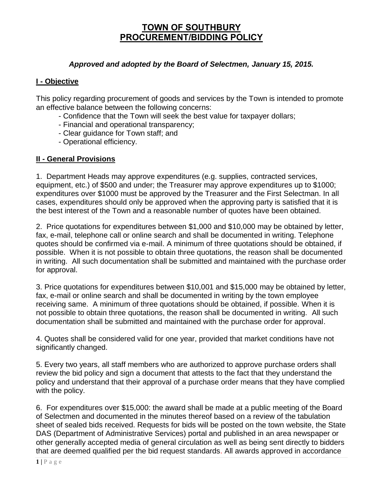# **TOWN OF SOUTHBURY PROCUREMENT/BIDDING POLICY**

### *Approved and adopted by the Board of Selectmen, January 15, 2015.*

#### **I - Objective**

This policy regarding procurement of goods and services by the Town is intended to promote an effective balance between the following concerns:

- Confidence that the Town will seek the best value for taxpayer dollars;
- Financial and operational transparency;
- Clear guidance for Town staff; and
- Operational efficiency.

## **II - General Provisions**

1. Department Heads may approve expenditures (e.g. supplies, contracted services, equipment, etc.) of \$500 and under; the Treasurer may approve expenditures up to \$1000; expenditures over \$1000 must be approved by the Treasurer and the First Selectman. In all cases, expenditures should only be approved when the approving party is satisfied that it is the best interest of the Town and a reasonable number of quotes have been obtained.

2. Price quotations for expenditures between \$1,000 and \$10,000 may be obtained by letter, fax, e-mail, telephone call or online search and shall be documented in writing. Telephone quotes should be confirmed via e-mail. A minimum of three quotations should be obtained, if possible. When it is not possible to obtain three quotations, the reason shall be documented in writing. All such documentation shall be submitted and maintained with the purchase order for approval.

3. Price quotations for expenditures between \$10,001 and \$15,000 may be obtained by letter, fax, e-mail or online search and shall be documented in writing by the town employee receiving same. A minimum of three quotations should be obtained, if possible. When it is not possible to obtain three quotations, the reason shall be documented in writing. All such documentation shall be submitted and maintained with the purchase order for approval.

4. Quotes shall be considered valid for one year, provided that market conditions have not significantly changed.

5. Every two years, all staff members who are authorized to approve purchase orders shall review the bid policy and sign a document that attests to the fact that they understand the policy and understand that their approval of a purchase order means that they have complied with the policy.

6. For expenditures over \$15,000: the award shall be made at a public meeting of the Board of Selectmen and documented in the minutes thereof based on a review of the tabulation sheet of sealed bids received. Requests for bids will be posted on the town website, the State DAS (Department of Administrative Services) portal and published in an area newspaper or other generally accepted media of general circulation as well as being sent directly to bidders that are deemed qualified per the bid request standards. All awards approved in accordance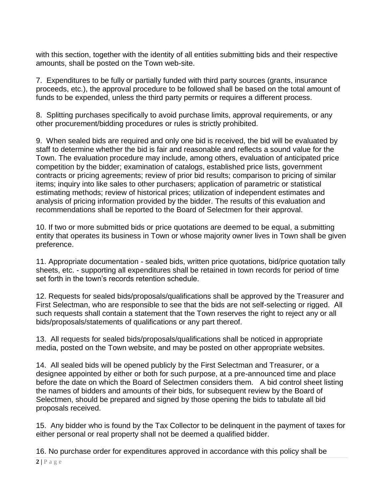with this section, together with the identity of all entities submitting bids and their respective amounts, shall be posted on the Town web-site.

7. Expenditures to be fully or partially funded with third party sources (grants, insurance proceeds, etc.), the approval procedure to be followed shall be based on the total amount of funds to be expended, unless the third party permits or requires a different process.

8. Splitting purchases specifically to avoid purchase limits, approval requirements, or any other procurement/bidding procedures or rules is strictly prohibited.

9. When sealed bids are required and only one bid is received, the bid will be evaluated by staff to determine whether the bid is fair and reasonable and reflects a sound value for the Town. The evaluation procedure may include, among others, evaluation of anticipated price competition by the bidder; examination of catalogs, established price lists, government contracts or pricing agreements; review of prior bid results; comparison to pricing of similar items; inquiry into like sales to other purchasers; application of parametric or statistical estimating methods; review of historical prices; utilization of independent estimates and analysis of pricing information provided by the bidder. The results of this evaluation and recommendations shall be reported to the Board of Selectmen for their approval.

10. If two or more submitted bids or price quotations are deemed to be equal, a submitting entity that operates its business in Town or whose majority owner lives in Town shall be given preference.

11. Appropriate documentation - sealed bids, written price quotations, bid/price quotation tally sheets, etc. - supporting all expenditures shall be retained in town records for period of time set forth in the town's records retention schedule.

12. Requests for sealed bids/proposals/qualifications shall be approved by the Treasurer and First Selectman, who are responsible to see that the bids are not self-selecting or rigged. All such requests shall contain a statement that the Town reserves the right to reject any or all bids/proposals/statements of qualifications or any part thereof.

13. All requests for sealed bids/proposals/qualifications shall be noticed in appropriate media, posted on the Town website, and may be posted on other appropriate websites.

14. All sealed bids will be opened publicly by the First Selectman and Treasurer, or a designee appointed by either or both for such purpose, at a pre-announced time and place before the date on which the Board of Selectmen considers them. A bid control sheet listing the names of bidders and amounts of their bids, for subsequent review by the Board of Selectmen, should be prepared and signed by those opening the bids to tabulate all bid proposals received.

15. Any bidder who is found by the Tax Collector to be delinquent in the payment of taxes for either personal or real property shall not be deemed a qualified bidder.

16. No purchase order for expenditures approved in accordance with this policy shall be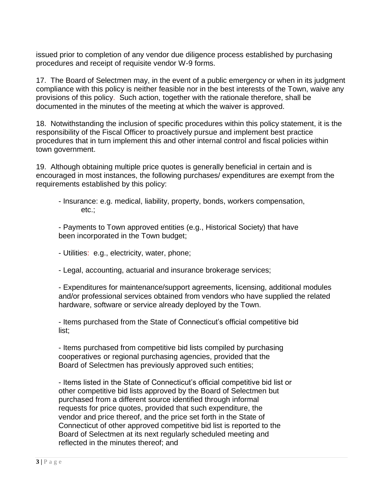issued prior to completion of any vendor due diligence process established by purchasing procedures and receipt of requisite vendor W-9 forms.

17. The Board of Selectmen may, in the event of a public emergency or when in its judgment compliance with this policy is neither feasible nor in the best interests of the Town, waive any provisions of this policy. Such action, together with the rationale therefore, shall be documented in the minutes of the meeting at which the waiver is approved.

18. Notwithstanding the inclusion of specific procedures within this policy statement, it is the responsibility of the Fiscal Officer to proactively pursue and implement best practice procedures that in turn implement this and other internal control and fiscal policies within town government.

19. Although obtaining multiple price quotes is generally beneficial in certain and is encouraged in most instances, the following purchases/ expenditures are exempt from the requirements established by this policy:

- Insurance: e.g. medical, liability, property, bonds, workers compensation, etc.;

- Payments to Town approved entities (e.g., Historical Society) that have been incorporated in the Town budget;

- Utilities: e.g., electricity, water, phone;

- Legal, accounting, actuarial and insurance brokerage services;

- Expenditures for maintenance/support agreements, licensing, additional modules and/or professional services obtained from vendors who have supplied the related hardware, software or service already deployed by the Town.

- Items purchased from the State of Connecticut's official competitive bid list;

- Items purchased from competitive bid lists compiled by purchasing cooperatives or regional purchasing agencies, provided that the Board of Selectmen has previously approved such entities;

- Items listed in the State of Connecticut's official competitive bid list or other competitive bid lists approved by the Board of Selectmen but purchased from a different source identified through informal requests for price quotes, provided that such expenditure, the vendor and price thereof, and the price set forth in the State of Connecticut of other approved competitive bid list is reported to the Board of Selectmen at its next regularly scheduled meeting and reflected in the minutes thereof; and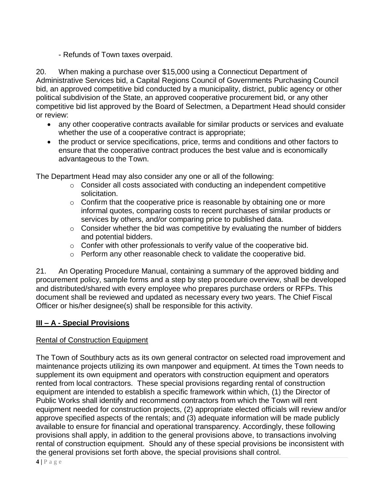- Refunds of Town taxes overpaid.

20. When making a purchase over \$15,000 using a Connecticut Department of Administrative Services bid, a Capital Regions Council of Governments Purchasing Council bid, an approved competitive bid conducted by a municipality, district, public agency or other political subdivision of the State, an approved cooperative procurement bid, or any other competitive bid list approved by the Board of Selectmen, a Department Head should consider or review:

- any other cooperative contracts available for similar products or services and evaluate whether the use of a cooperative contract is appropriate;
- the product or service specifications, price, terms and conditions and other factors to ensure that the cooperative contract produces the best value and is economically advantageous to the Town.

The Department Head may also consider any one or all of the following:

- o Consider all costs associated with conducting an independent competitive solicitation.
- $\circ$  Confirm that the cooperative price is reasonable by obtaining one or more informal quotes, comparing costs to recent purchases of similar products or services by others, and/or comparing price to published data.
- $\circ$  Consider whether the bid was competitive by evaluating the number of bidders and potential bidders.
- $\circ$  Confer with other professionals to verify value of the cooperative bid.
- $\circ$  Perform any other reasonable check to validate the cooperative bid.

21. An Operating Procedure Manual, containing a summary of the approved bidding and procurement policy, sample forms and a step by step procedure overview, shall be developed and distributed/shared with every employee who prepares purchase orders or RFPs. This document shall be reviewed and updated as necessary every two years. The Chief Fiscal Officer or his/her designee(s) shall be responsible for this activity.

# **III – A - Special Provisions**

## Rental of Construction Equipment

The Town of Southbury acts as its own general contractor on selected road improvement and maintenance projects utilizing its own manpower and equipment. At times the Town needs to supplement its own equipment and operators with construction equipment and operators rented from local contractors. These special provisions regarding rental of construction equipment are intended to establish a specific framework within which, (1) the Director of Public Works shall identify and recommend contractors from which the Town will rent equipment needed for construction projects, (2) appropriate elected officials will review and/or approve specified aspects of the rentals; and (3) adequate information will be made publicly available to ensure for financial and operational transparency. Accordingly, these following provisions shall apply, in addition to the general provisions above, to transactions involving rental of construction equipment. Should any of these special provisions be inconsistent with the general provisions set forth above, the special provisions shall control.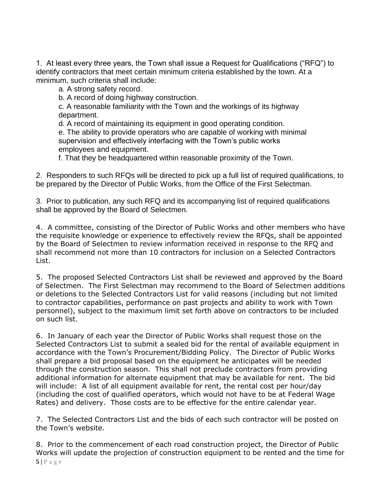1. At least every three years, the Town shall issue a Request for Qualifications ("RFQ") to identify contractors that meet certain minimum criteria established by the town. At a minimum, such criteria shall include:

a. A strong safety record.

b. A record of doing highway construction.

c. A reasonable familiarity with the Town and the workings of its highway department.

d. A record of maintaining its equipment in good operating condition.

e. The ability to provide operators who are capable of working with minimal supervision and effectively interfacing with the Town's public works employees and equipment.

f. That they be headquartered within reasonable proximity of the Town.

2. Responders to such RFQs will be directed to pick up a full list of required qualifications, to be prepared by the Director of Public Works, from the Office of the First Selectman.

3. Prior to publication, any such RFQ and its accompanying list of required qualifications shall be approved by the Board of Selectmen.

4. A committee, consisting of the Director of Public Works and other members who have the requisite knowledge or experience to effectively review the RFQs, shall be appointed by the Board of Selectmen to review information received in response to the RFQ and shall recommend not more than 10 contractors for inclusion on a Selected Contractors List.

5. The proposed Selected Contractors List shall be reviewed and approved by the Board of Selectmen. The First Selectman may recommend to the Board of Selectmen additions or deletions to the Selected Contractors List for valid reasons (including but not limited to contractor capabilities, performance on past projects and ability to work with Town personnel), subject to the maximum limit set forth above on contractors to be included on such list.

6. In January of each year the Director of Public Works shall request those on the Selected Contractors List to submit a sealed bid for the rental of available equipment in accordance with the Town's Procurement/Bidding Policy. The Director of Public Works shall prepare a bid proposal based on the equipment he anticipates will be needed through the construction season. This shall not preclude contractors from providing additional information for alternate equipment that may be available for rent. The bid will include: A list of all equipment available for rent, the rental cost per hour/day (including the cost of qualified operators, which would not have to be at Federal Wage Rates) and delivery. Those costs are to be effective for the entire calendar year.

7. The Selected Contractors List and the bids of each such contractor will be posted on the Town's website.

8. Prior to the commencement of each road construction project, the Director of Public Works will update the projection of construction equipment to be rented and the time for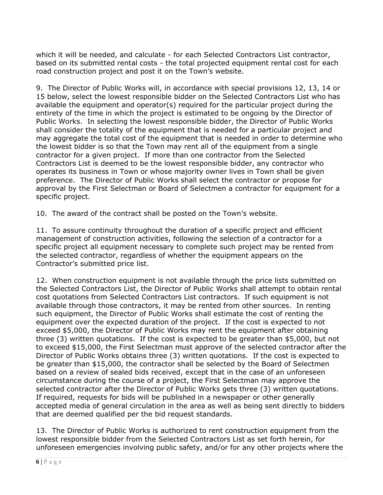which it will be needed, and calculate - for each Selected Contractors List contractor, based on its submitted rental costs - the total projected equipment rental cost for each road construction project and post it on the Town's website.

9. The Director of Public Works will, in accordance with special provisions 12, 13, 14 or 15 below, select the lowest responsible bidder on the Selected Contractors List who has available the equipment and operator(s) required for the particular project during the entirety of the time in which the project is estimated to be ongoing by the Director of Public Works. In selecting the lowest responsible bidder, the Director of Public Works shall consider the totality of the equipment that is needed for a particular project and may aggregate the total cost of the equipment that is needed in order to determine who the lowest bidder is so that the Town may rent all of the equipment from a single contractor for a given project. If more than one contractor from the Selected Contractors List is deemed to be the lowest responsible bidder, any contractor who operates its business in Town or whose majority owner lives in Town shall be given preference. The Director of Public Works shall select the contractor or propose for approval by the First Selectman or Board of Selectmen a contractor for equipment for a specific project.

10. The award of the contract shall be posted on the Town's website.

11. To assure continuity throughout the duration of a specific project and efficient management of construction activities, following the selection of a contractor for a specific project all equipment necessary to complete such project may be rented from the selected contractor, regardless of whether the equipment appears on the Contractor's submitted price list.

12. When construction equipment is not available through the price lists submitted on the Selected Contractors List, the Director of Public Works shall attempt to obtain rental cost quotations from Selected Contractors List contractors. If such equipment is not available through those contractors, it may be rented from other sources. In renting such equipment, the Director of Public Works shall estimate the cost of renting the equipment over the expected duration of the project. If the cost is expected to not exceed \$5,000, the Director of Public Works may rent the equipment after obtaining three (3) written quotations. If the cost is expected to be greater than \$5,000, but not to exceed \$15,000, the First Selectman must approve of the selected contractor after the Director of Public Works obtains three (3) written quotations. If the cost is expected to be greater than \$15,000, the contractor shall be selected by the Board of Selectmen based on a review of sealed bids received, except that in the case of an unforeseen circumstance during the course of a project, the First Selectman may approve the selected contractor after the Director of Public Works gets three (3) written quotations. If required, requests for bids will be published in a newspaper or other generally accepted media of general circulation in the area as well as being sent directly to bidders that are deemed qualified per the bid request standards.

13. The Director of Public Works is authorized to rent construction equipment from the lowest responsible bidder from the Selected Contractors List as set forth herein, for unforeseen emergencies involving public safety, and/or for any other projects where the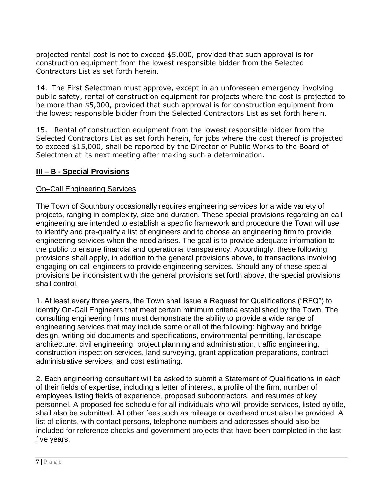projected rental cost is not to exceed \$5,000, provided that such approval is for construction equipment from the lowest responsible bidder from the Selected Contractors List as set forth herein.

14. The First Selectman must approve, except in an unforeseen emergency involving public safety, rental of construction equipment for projects where the cost is projected to be more than \$5,000, provided that such approval is for construction equipment from the lowest responsible bidder from the Selected Contractors List as set forth herein.

15. Rental of construction equipment from the lowest responsible bidder from the Selected Contractors List as set forth herein, for jobs where the cost thereof is projected to exceed \$15,000, shall be reported by the Director of Public Works to the Board of Selectmen at its next meeting after making such a determination.

## **III – B - Special Provisions**

### On–Call Engineering Services

The Town of Southbury occasionally requires engineering services for a wide variety of projects, ranging in complexity, size and duration. These special provisions regarding on-call engineering are intended to establish a specific framework and procedure the Town will use to identify and pre-qualify a list of engineers and to choose an engineering firm to provide engineering services when the need arises. The goal is to provide adequate information to the public to ensure financial and operational transparency. Accordingly, these following provisions shall apply, in addition to the general provisions above, to transactions involving engaging on-call engineers to provide engineering services. Should any of these special provisions be inconsistent with the general provisions set forth above, the special provisions shall control.

1. At least every three years, the Town shall issue a Request for Qualifications ("RFQ") to identify On-Call Engineers that meet certain minimum criteria established by the Town. The consulting engineering firms must demonstrate the ability to provide a wide range of engineering services that may include some or all of the following: highway and bridge design, writing bid documents and specifications, environmental permitting, landscape architecture, civil engineering, project planning and administration, traffic engineering, construction inspection services, land surveying, grant application preparations, contract administrative services, and cost estimating.

2. Each engineering consultant will be asked to submit a Statement of Qualifications in each of their fields of expertise, including a letter of interest, a profile of the firm, number of employees listing fields of experience, proposed subcontractors, and resumes of key personnel. A proposed fee schedule for all individuals who will provide services, listed by title, shall also be submitted. All other fees such as mileage or overhead must also be provided. A list of clients, with contact persons, telephone numbers and addresses should also be included for reference checks and government projects that have been completed in the last five years.